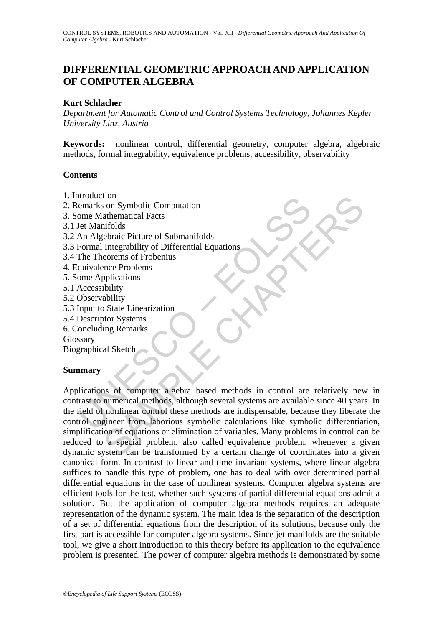## **DIFFERENTIAL GEOMETRIC APPROACH AND APPLICATION OF COMPUTER ALGEBRA**

### **Kurt Schlacher**

*Department for Automatic Control and Control Systems Technology, Johannes Kepler University Linz, Austria* 

**Keywords:** nonlinear control, differential geometry, computer algebra, algebraic methods, formal integrability, equivalence problems, accessibility, observability

#### **Contents**

- 1. Introduction
- 2. Remarks on Symbolic Computation
- 3. Some Mathematical Facts
- 3.1 Jet Manifolds
- 3.2 An Algebraic Picture of Submanifolds
- 3.3 Formal Integrability of Differential Equations
- 3.4 The Theorems of Frobenius
- 4. Equivalence Problems
- 5. Some Applications
- 5.1 Accessibility
- 5.2 Observability
- 5.3 Input to State Linearization
- 5.4 Descriptor Systems
- 6. Concluding Remarks

Glossary

Biographical Sketch

#### **Summary**

moduction<br>
emarks on Symbolic Computation<br>
ome Mathematical Facts<br>
Jet Manifolds<br>
An Algebraic Picture of Submanifolds<br>
An Algebraic Picture of Submanifolds<br>
Formal Integrability of Differential Equations<br>
quivalence Probe ton<br>
son Symbolic Computation<br>
athematical Facts<br>
irolds<br>
thematical Facts<br>
infolds<br>
Integrability of Differential Equations<br>
eorems of Frobenius<br>
ence Problems<br>
ibility<br>
bility<br>
ability<br>
ability<br>
ability<br>
ability<br>
ability Applications of computer algebra based methods in control are relatively new in contrast to numerical methods, although several systems are available since 40 years. In the field of nonlinear control these methods are indispensable, because they liberate the control engineer from laborious symbolic calculations like symbolic differentiation, simplification of equations or elimination of variables. Many problems in control can be reduced to a special problem, also called equivalence problem, whenever a given dynamic system can be transformed by a certain change of coordinates into a given canonical form. In contrast to linear and time invariant systems, where linear algebra suffices to handle this type of problem, one has to deal with over determined partial differential equations in the case of nonlinear systems. Computer algebra systems are efficient tools for the test, whether such systems of partial differential equations admit a solution. But the application of computer algebra methods requires an adequate representation of the dynamic system. The main idea is the separation of the description of a set of differential equations from the description of its solutions, because only the first part is accessible for computer algebra systems. Since jet manifolds are the suitable tool, we give a short introduction to this theory before its application to the equivalence problem is presented. The power of computer algebra methods is demonstrated by some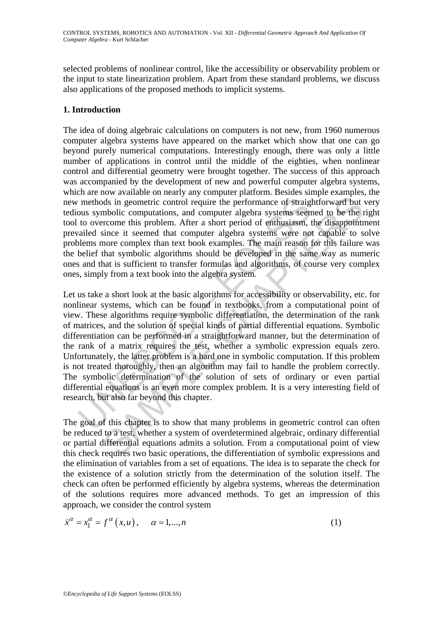selected problems of nonlinear control, like the accessibility or observability problem or the input to state linearization problem. Apart from these standard problems, we discuss also applications of the proposed methods to implicit systems.

### **1. Introduction**

The idea of doing algebraic calculations on computers is not new, from 1960 numerous computer algebra systems have appeared on the market which show that one can go beyond purely numerical computations. Interestingly enough, there was only a little number of applications in control until the middle of the eighties, when nonlinear control and differential geometry were brought together. The success of this approach was accompanied by the development of new and powerful computer algebra systems, which are now available on nearly any computer platform. Besides simple examples, the new methods in geometric control require the performance of straightforward but very tedious symbolic computations, and computer algebra systems seemed to be the right tool to overcome this problem. After a short period of enthusiasm, the disappointment prevailed since it seemed that computer algebra systems were not capable to solve problems more complex than text book examples. The main reason for this failure was the belief that symbolic algorithms should be developed in the same way as numeric ones and that is sufficient to transfer formulas and algorithms, of course very complex ones, simply from a text book into the algebra system.

methods in geometric control require the performance of straigly<br>ous symbolic computations, and computer algebra systems seen<br>to overcome this problem. After a short period of enthusiasm, t<br>ailed since it seemed that compu ds in geometric control require the performance of straightforward but<br>nbolic computations, and computer algebra systems seemed to be the proformance it sproblem. After a short period of enthusiasm, the disappoint<br>increase Let us take a short look at the basic algorithms for accessibility or observability, etc. for nonlinear systems, which can be found in textbooks, from a computational point of view. These algorithms require symbolic differentiation, the determination of the rank of matrices, and the solution of special kinds of partial differential equations. Symbolic differentiation can be performed in a straightforward manner, but the determination of the rank of a matrix requires the test, whether a symbolic expression equals zero. Unfortunately, the latter problem is a hard one in symbolic computation. If this problem is not treated thoroughly, then an algorithm may fail to handle the problem correctly. The symbolic determination of the solution of sets of ordinary or even partial differential equations is an even more complex problem. It is a very interesting field of research, but also far beyond this chapter.

The goal of this chapter is to show that many problems in geometric control can often be reduced to a test, whether a system of overdetermined algebraic, ordinary differential or partial differential equations admits a solution. From a computational point of view this check requires two basic operations, the differentiation of symbolic expressions and the elimination of variables from a set of equations. The idea is to separate the check for the existence of a solution strictly from the determination of the solution itself. The check can often be performed efficiently by algebra systems, whereas the determination of the solutions requires more advanced methods. To get an impression of this approach, we consider the control system

$$
\dot{x}^{\alpha} = x_1^{\alpha} = f^{\alpha}(x, u), \quad \alpha = 1, \dots, n
$$
 (1)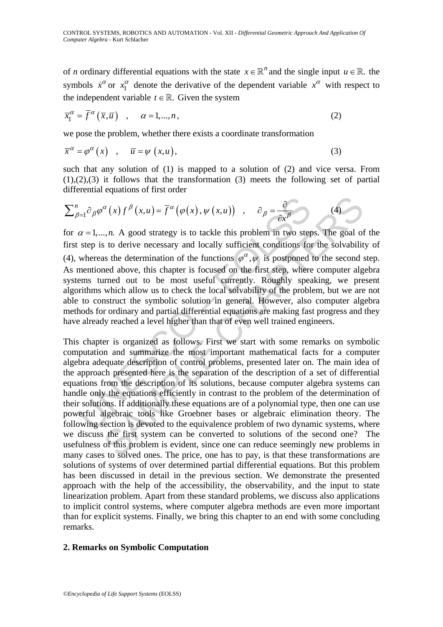of *n* ordinary differential equations with the state  $x \in \mathbb{R}^n$  and the single input  $u \in \mathbb{R}$ . the symbols  $\dot{x}^{\alpha}$  or  $x_1^{\alpha}$  denote the derivative of the dependent variable  $x^{\alpha}$  with respect to the independent variable  $t \in \mathbb{R}$ . Given the system

$$
\overline{x}_1^{\alpha} = \overline{f}^{\alpha}(\overline{x}, \overline{u}) \quad , \quad \alpha = 1, ..., n \tag{2}
$$

we pose the problem, whether there exists a coordinate transformation

$$
\overline{x}^{\alpha} = \varphi^{\alpha}(x) \quad , \quad \overline{u} = \psi(x, u), \tag{3}
$$

such that any solution of (1) is mapped to a solution of (2) and vice versa. From  $(1),(2),(3)$  it follows that the transformation  $(3)$  meets the following set of partial differential equations of first order

$$
\sum_{\beta=1}^{n} \partial_{\beta} \varphi^{\alpha}(x) f^{\beta}(x, u) = \overline{f}^{\alpha}(\varphi(x), \psi(x, u)) \quad , \quad \partial_{\beta} = \frac{\partial}{\partial x^{\beta}} \tag{4}
$$

 $\vec{C}_{3=1} \partial_{\beta} \varphi^{\alpha}(x) f^{\beta}(x, u) = \overline{f}^{\alpha}(\varphi(x), \psi(x, u))$ ,  $\partial_{\beta} = \frac{\partial}{\partial x^{\beta}}$ <br>  $\alpha = 1,...,n$ . A good strategy is to tackle this problem in two step<br>
step is to derive necessary and locally sufficient conditions for<br>
where for  $\alpha = 1, \ldots, n$ . A good strategy is to tackle this problem in two steps. The goal of the first step is to derive necessary and locally sufficient conditions for the solvability of (4), whereas the determination of the functions  $\varphi^{\alpha}, \psi$  is postponed to the second step. As mentioned above, this chapter is focused on the first step, where computer algebra systems turned out to be most useful currently. Roughly speaking, we present algorithms which allow us to check the local solvability of the problem, but we are not able to construct the symbolic solution in general. However, also computer algebra methods for ordinary and partial differential equations are making fast progress and they have already reached a level higher than that of even well trained engineers.

 $\alpha(x) f^{\beta}(x, u) = \overline{f}^{\alpha}(\varphi(x), \psi(x, u))$ ,  $\partial_{\beta} = \frac{\partial}{\partial x^{\beta}}$  (4)<br>
..,*n*. A good strategy is to tackle this problem in two steps. The goal of<br>
sto derive necessary and locally sufficient conditions for the solvabilit<br>
as This chapter is organized as follows. First we start with some remarks on symbolic computation and summarize the most important mathematical facts for a computer algebra adequate description of control problems, presented later on. The main idea of the approach presented here is the separation of the description of a set of differential equations from the description of its solutions, because computer algebra systems can handle only the equations efficiently in contrast to the problem of the determination of their solutions. If additionally these equations are of a polynomial type, then one can use powerful algebraic tools like Groebner bases or algebraic elimination theory. The following section is devoted to the equivalence problem of two dynamic systems, where we discuss the first system can be converted to solutions of the second one? The usefulness of this problem is evident, since one can reduce seemingly new problems in many cases to solved ones. The price, one has to pay, is that these transformations are solutions of systems of over determined partial differential equations. But this problem has been discussed in detail in the previous section. We demonstrate the presented approach with the help of the accessibility, the observability, and the input to state linearization problem. Apart from these standard problems, we discuss also applications to implicit control systems, where computer algebra methods are even more important than for explicit systems. Finally, we bring this chapter to an end with some concluding remarks.

#### **2. Remarks on Symbolic Computation**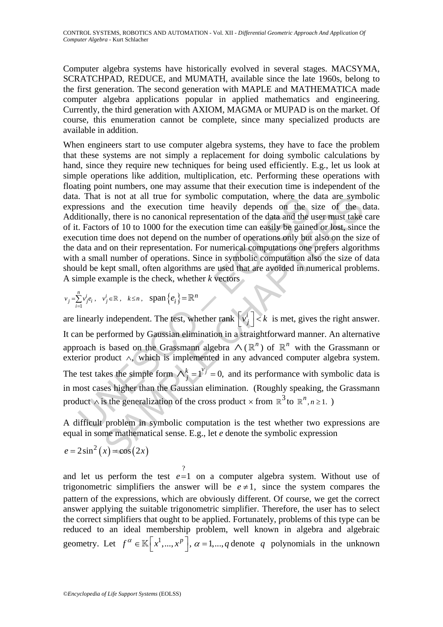Computer algebra systems have historically evolved in several stages. MACSYMA, SCRATCHPAD, REDUCE, and MUMATH, available since the late 1960s, belong to the first generation. The second generation with MAPLE and MATHEMATICA made computer algebra applications popular in applied mathematics and engineering. Currently, the third generation with AXIOM, MAGMA or MUPAD is on the market. Of course, this enumeration cannot be complete, since many specialized products are available in addition.

When engineers start to use computer algebra systems, they have to face the problem that these systems are not simply a replacement for doing symbolic calculations by hand, since they require new techniques for being used efficiently. E.g., let us look at simple operations like addition, multiplication, etc. Performing these operations with floating point numbers, one may assume that their execution time is independent of the data. That is not at all true for symbolic computation, where the data are symbolic expressions and the execution time heavily depends on the size of the data. Additionally, there is no canonical representation of the data and the user must take care of it. Factors of 10 to 1000 for the execution time can easily be gained or lost, since the execution time does not depend on the number of operations only but also on the size of the data and on their representation. For numerical computations one prefers algorithms with a small number of operations. Since in symbolic computation also the size of data should be kept small, often algorithms are used that are avoided in numerical problems. A simple example is the check, whether *k* vectors

$$
v_j = \sum_{i=1}^n v_j^i e_i
$$
,  $v_j^i \in \mathbb{R}$ ,  $k \le n$ ,  $\text{span}\{e_i\} = \mathbb{R}^n$ 

That is not at all true to r symbolic computation, where the data are symthation<br>
actions and the execution time heavily depends on the size of the constitutionally, there is no canonical representation of the data and th are linearly independent. The test, whether rank  $\left[\nu_j^i\right] < k$  is met, gives the right answer. It can be performed by Gaussian elimination in a straightforward manner. An alternative approach is based on the Grassmann algebra  $\wedge (\mathbb{R}^n)$  of  $\mathbb{R}^n$  with the Grassmann or exterior product ∧, which is implemented in any advanced computer algebra system. The test takes the simple form  $\bigwedge_{j=1}^{k} I^{y_j} = 0$ , and its performance with symbolic data is in most cases higher than the Gaussian elimination. (Roughly speaking, the Grassmann product  $\wedge$  is the generalization of the cross product  $\times$  from  $\mathbb{R}^3$  to  $\mathbb{R}^n \cdot n \ge 1$ .

A difficult problem in symbolic computation is the test whether two expressions are equal in some mathematical sense. E.g., let *e* denote the symbolic expression

$$
e = 2\sin^2(x) = \cos(2x)
$$

and let us perform the test ? *e*=1 on a computer algebra system. Without use of trigonometric simplifiers the answer will be  $e \neq 1$ , since the system compares the pattern of the expressions, which are obviously different. Of course, we get the correct answer applying the suitable trigonometric simplifier. Therefore, the user has to select the correct simplifiers that ought to be applied. Fortunately, problems of this type can be reduced to an ideal membership problem, well known in algebra and algebraic geometry. Let  $f^{\alpha} \in \mathbb{K}[x^1, ..., x^p], \alpha = 1, ..., q$  denote q polynomials in the unknown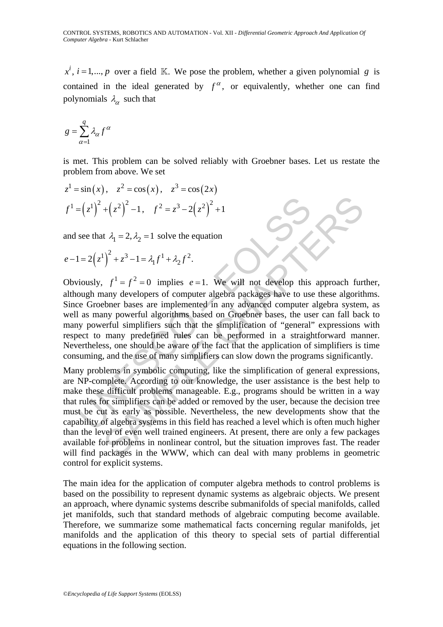$x^{i}$ ,  $i = 1,..., p$  over a field K. We pose the problem, whether a given polynomial *g* is contained in the ideal generated by  $f^{\alpha}$ , or equivalently, whether one can find polynomials  $\lambda_{\alpha}$  such that

$$
g = \sum_{\alpha=1}^{q} \lambda_{\alpha} f^{\alpha}
$$

is met. This problem can be solved reliably with Groebner bases. Let us restate the problem from above. We set

$$
z^1 = \sin(x), \quad z^2 = \cos(x), \quad z^3 = \cos(2x)
$$
  
 $f^1 = (z^1)^2 + (z^2)^2 - 1, \quad f^2 = z^3 - 2(z^2)^2 + 1$ 

and see that  $\lambda_1 = 2, \lambda_2 = 1$  solve the equation

$$
e-1 = 2(z^{1})^{2} + z^{3} - 1 = \lambda_{1} f^{1} + \lambda_{2} f^{2}.
$$

 $=\left(z^1\right)^2 + \left(z^2\right)^2 - 1$ ,  $f^2 = z^3 - 2\left(z^2\right)^2 + 1$ <br>see that  $\lambda_1 = 2, \lambda_2 = 1$  solve the equation<br> $1 = 2\left(z^1\right)^2 + z^3 - 1 = \lambda_1 f^1 + \lambda_2 f^2$ .<br>iously,  $f^1 = f^2 = 0$  implies  $e = 1$ . We will not develop this<br>ough many developers o Obviously,  $f^1 = f^2 = 0$  implies  $e = 1$ . We will not develop this approach further, although many developers of computer algebra packages have to use these algorithms. Since Groebner bases are implemented in any advanced computer algebra system, as well as many powerful algorithms based on Groebner bases, the user can fall back to many powerful simplifiers such that the simplification of "general" expressions with respect to many predefined rules can be performed in a straightforward manner. Nevertheless, one should be aware of the fact that the application of simplifiers is time consuming, and the use of many simplifiers can slow down the programs significantly.

 $+\left(z^2\right)^2 - 1$ ,  $f^2 = z^3 - 2\left(z^2\right)^2 + 1$ <br>  $\frac{1}{4}z^2 - 1 = \frac{1}{4}z^4 + \frac{1}{2}z^2$ .<br>  $\frac{1}{4}z^3 - 1 = \frac{1}{4}z^4 + \frac{1}{2}z^2$ .<br>  $\frac{1}{4}z^3 - 1 = \frac{1}{4}z^4 + \frac{1}{2}z^2$ .<br>  $\frac{1}{4}z^3 - 1 = \frac{1}{4}z^4 + \frac{1}{4}z^2$ .<br>  $\frac{1}{4}z^4 - 1 = \frac{1$ Many problems in symbolic computing, like the simplification of general expressions, are NP-complete. According to our knowledge, the user assistance is the best help to make these difficult problems manageable. E.g., programs should be written in a way that rules for simplifiers can be added or removed by the user, because the decision tree must be cut as early as possible. Nevertheless, the new developments show that the capability of algebra systems in this field has reached a level which is often much higher than the level of even well trained engineers. At present, there are only a few packages available for problems in nonlinear control, but the situation improves fast. The reader will find packages in the WWW, which can deal with many problems in geometric control for explicit systems.

The main idea for the application of computer algebra methods to control problems is based on the possibility to represent dynamic systems as algebraic objects. We present an approach, where dynamic systems describe submanifolds of special manifolds, called jet manifolds, such that standard methods of algebraic computing become available. Therefore, we summarize some mathematical facts concerning regular manifolds, jet manifolds and the application of this theory to special sets of partial differential equations in the following section.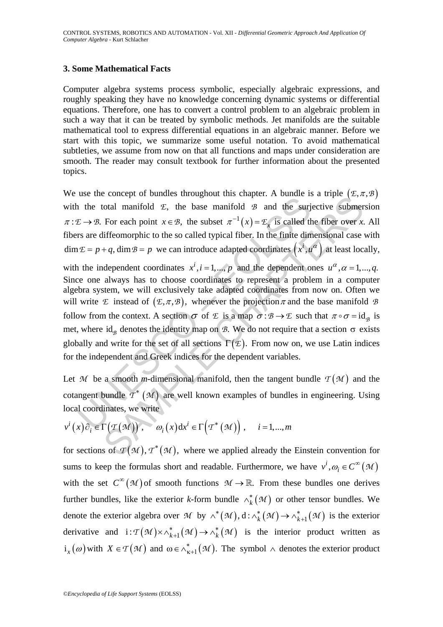#### **3. Some Mathematical Facts**

Computer algebra systems process symbolic, especially algebraic expressions, and roughly speaking they have no knowledge concerning dynamic systems or differential equations. Therefore, one has to convert a control problem to an algebraic problem in such a way that it can be treated by symbolic methods. Jet manifolds are the suitable mathematical tool to express differential equations in an algebraic manner. Before we start with this topic, we summarize some useful notation. To avoid mathematical subtleties, we assume from now on that all functions and maps under consideration are smooth. The reader may consult textbook for further information about the presented topics.

We use the concept of bundles throughout this chapter. A bundle is a triple  $(\mathcal{E}, \pi, \mathcal{B})$ with the total manifold  $E$ , the base manifold  $B$  and the surjective submersion  $\pi: \mathcal{E} \to \mathcal{B}$ . For each point  $x \in \mathcal{B}$ , the subset  $\pi^{-1}(x) = \mathcal{E}_x$  is called the fiber over *x*. All fibers are diffeomorphic to the so called typical fiber. In the finite dimensional case with  $\dim \mathcal{E} = p+q$ ,  $\dim \mathcal{B} = p$  we can introduce adapted coordinates  $(x^{i}, u^{\alpha})$  at least locally,

are the contect of stations unoughout time enterpret. To change in<br>the total manifold  $\mathcal{E}$ , the base manifold  $\mathcal{B}$  and the surj<br> $E \rightarrow \mathcal{B}$ . For each point  $x \in \mathcal{B}$ , the subset  $\pi^{-1}(x) = \mathcal{E}_x$  is called the<br>r otal manifold  $E$ , the base manifold  $B$  and the surjective submer<br>For each point  $x \in B$ , the subset  $\pi^{-1}(x) = \mathbb{F}_x$  is called the fiber over  $x$ .<br>diffeomorphic to the so called typical fiber. In the finite dimensional with the independent coordinates  $x^i$ ,  $i = 1,..., p$  and the dependent ones  $u^{\alpha}, \alpha = 1,..., q$ . Since one always has to choose coordinates to represent a problem in a computer algebra system, we will exclusively take adapted coordinates from now on. Often we will write *E* instead of  $(E, \pi, \mathcal{B})$ , whenever the projection  $\pi$  and the base manifold *B* follow from the context. A section  $\sigma$  of  $E$  is a map  $\sigma : \mathcal{B} \to E$  such that  $\pi \circ \sigma = id_{\mathcal{B}}$  is met, where id<sub>*B*</sub> denotes the identity map on  $\beta$ . We do not require that a section  $\sigma$  exists globally and write for the set of all sections  $\Gamma(\mathcal{E})$ . From now on, we use Latin indices for the independent and Greek indices for the dependent variables.

Let *M* be a smooth *m*-dimensional manifold, then the tangent bundle  $\mathcal{T}(M)$  and the cotangent bundle  $T^*$   $(M)$  are well known examples of bundles in engineering. Using local coordinates, we write

$$
v^{i}(x)\partial_{i}\in\Gamma(\mathcal{T}(\mathcal{M}))\,,\quad \omega_{i}(x)\mathrm{d}x^{i}\in\Gamma(\mathcal{T}^{*}(\mathcal{M}))\,,\quad i=1,...,m
$$

for sections of  $\mathcal{I}(\mathcal{M})$ ,  $\mathcal{T}^*(\mathcal{M})$ , where we applied already the Einstein convention for sums to keep the formulas short and readable. Furthermore, we have  $v^i, \omega_i \in C^\infty(\mathcal{M})$ with the set  $C^{\infty}(\mathcal{M})$  of smooth functions  $\mathcal{M} \to \mathbb{R}$ . From these bundles one derives further bundles, like the exterior *k*-form bundle  $\wedge_k^* (\mathcal{M})$  or other tensor bundles. We denote the exterior algebra over *M* by  $\wedge^*(M)$ ,  $d: \wedge_k^*(M) \to \wedge_{k+1}^*(M)$  is the exterior derivative and  $i: \mathcal{T}(\mathcal{M}) \times \wedge_{k+1}^* (\mathcal{M}) \to \wedge_k^* (\mathcal{M})$  is the interior product written as  $i_{x}(\omega)$  with  $X \in \mathcal{T}(\mathcal{M})$  and  $\omega \in \wedge_{\kappa+1}^{*}(\mathcal{M})$ . The symbol  $\wedge$  denotes the exterior product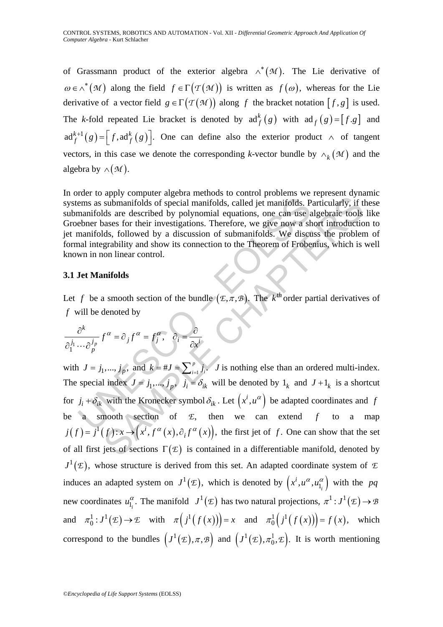of Grassmann product of the exterior algebra  $\wedge^* ( M )$ . The Lie derivative of  $\omega \in \wedge^* (\mathcal{M})$  along the field  $f \in \Gamma(\mathcal{T}(\mathcal{M}))$  is written as  $f(\omega)$ , whereas for the Lie derivative of a vector field  $g \in \Gamma(\mathcal{T}(\mathcal{M}))$  along f the bracket notation  $[f, g]$  is used. The *k*-fold repeated Lie bracket is denoted by  $\text{ad}_f^k(g)$  with  $\text{ad}_f(g) = [f.g]$  and  $ad_f^{k+1}(g) = [f, ad_f^k(g)]$ . One can define also the exterior product  $\wedge$  of tangent vectors, in this case we denote the corresponding *k*-vector bundle by  $\wedge_k (\mathcal{M})$  and the algebra by  $\land$   $(\mathcal{M})$ .

In order to apply computer algebra methods to control problems we represent dynamic systems as submanifolds of special manifolds, called jet manifolds. Particularly, if these submanifolds are described by polynomial equations, one can use algebraic tools like Groebner bases for their investigations. Therefore, we give now a short introduction to jet manifolds, followed by a discussion of submanifolds. We discuss the problem of formal integrability and show its connection to the Theorem of Frobenius, which is well known in non linear control.

#### **3.1 Jet Manifolds**

Let *f* be a smooth section of the bundle  $(E, \pi, \mathcal{B})$ . The *k*<sup>th</sup> order partial derivatives of *f* will be denoted by

$$
\frac{\partial^k}{\partial_1^{j_1} \cdots \partial_p^{j_p}} f^{\alpha} = \partial_j f^{\alpha} = f^{\alpha}_{j}, \quad \partial_i = \frac{\partial}{\partial x^{i}}
$$

The same state of special manifolds, called jet manifolds. Prainfolds are described by polynomial equations, one can use a<br>teher bases for their investigations. Therefore, we give now a shanarifolds, followed by a discuss submanifolds of special manifolds, called jet manifolds. Particularly, if the submanifolds of special manifolds, called jet manifolds. Particularly, if the substants for their investigations. Therefore, we give now a shor with  $J = j_1, ..., j_p$ , and  $k = #J = \sum_{i=1}^p j_i$ . *J* is nothing else than an ordered multi-index. The special index  $J = j_1, ..., j_p$ ,  $j_i = \delta_{ik}$  will be denoted by  $1_k$  and  $J + 1_k$  is a shortcut for  $j_i + \delta_{ik}$  with the Kronecker symbol  $\delta_{ik}$ . Let  $(x^i, u^\alpha)$  be adapted coordinates and *f* be a smooth section of  $E$ , then we can extend  $f$  to a map  $j(f) = j^{1}(f): x \rightarrow (x^{i}, f^{\alpha}(x), \partial_{i} f^{\alpha}(x))$ , the first jet of f. One can show that the set of all first jets of sections  $\Gamma(\mathcal{E})$  is contained in a differentiable manifold, denoted by  $J^1(\mathcal{E})$ , whose structure is derived from this set. An adapted coordinate system of  $\mathcal{E}$ induces an adapted system on  $J^1(\mathcal{E})$ , which is denoted by  $(x^i, u^\alpha, u^\alpha_1)$  with the *pq* new coordinates  $u_{1_i}^{\alpha}$ . The manifold  $J^1(\mathcal{E})$  has two natural projections,  $\pi^1: J^1(\mathcal{E}) \to \mathcal{B}$ and  $\pi_0^1 : J^1(\mathcal{E}) \to \mathcal{E}$  with  $\pi \left( j^1(f(x)) \right) = x$  and  $\pi_0^1 \left( j^1(f(x)) \right) = f(x)$ , which correspond to the bundles  $(J^1(\mathcal{E}), \pi, \mathcal{B})$  and  $(J^1(\mathcal{E}), \pi_0^1, \mathcal{E})$ . It is worth mentioning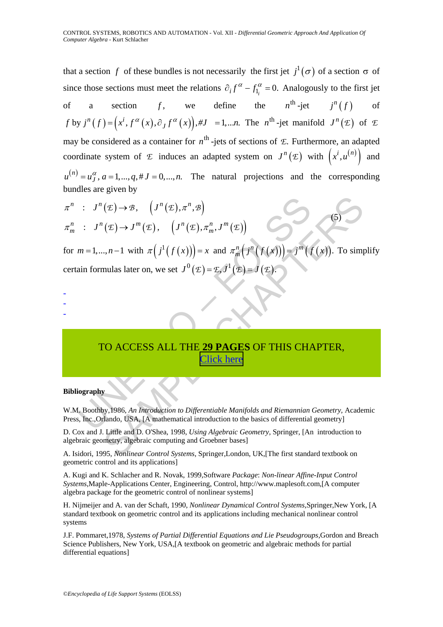that a section *f* of these bundles is not necessarily the first jet  $j^1(\sigma)$  of a section  $\sigma$  of since those sections must meet the relations  $\partial_i f^{\alpha} - f_{1_i}^{\alpha} = 0$ . Analogously to the first jet of a section f, we define the  $n^{\text{th}}$ -jet  $j^n(f)$  of  $f$  by  $j^{n}(f) = (x^{i}, f^{\alpha}(x), \partial_{J} f^{\alpha}(x))$ ,  $\# J = 1,...n$ . The  $n^{\text{th}}$ -jet manifold  $J^{n}(E)$  of  $E$ may be considered as a container for  $n^{\text{th}}$  -jets of sections of  $\mathcal{E}$ . Furthermore, an adapted coordinate system of  $E$  induces an adapted system on  $J^n(E)$  with  $(x^i, u^{(n)})$  and  $u^{(n)} = u_J^{\alpha}$ ,  $a = 1,..., q, \# J = 0,..., n$ . The natural projections and the corresponding bundles are given by

$$
\pi^n : J^n(\mathcal{E}) \to \mathcal{B}, \quad (J^n(\mathcal{E}), \pi^n, \mathcal{B})
$$
\n
$$
\pi^n_m : J^n(\mathcal{E}) \to J^m(\mathcal{E}), \quad (J^n(\mathcal{E}), \pi^n_m, J^m(\mathcal{E}))
$$
\nfor  $m = 1, ..., n-1$  with  $\pi(j^1(f(x))) = x$  and  $\pi^n_m(j^n(f(x))) = j^m(f(x))$ . To simplify certain formulas later on, we set  $J^0(\mathcal{E}) = \mathcal{E}, J^1(\mathcal{E}) = J(\mathcal{E})$ .\n\nTo **ACCESS ALL THE 29 PAGES OF THIS CHAPTER**, **Click here**\n\nBibliography\nW.M. Boothby, 1986, *An Introduction to Differentiable Manifolds and Riemannian Geometry*, Academic Press, Inc., Orlando, USA, [A mathematical introduction to the basics of differential geometry] D. Cox and J. Little and D. OShea, 1998, *Using Algebraic Geometry*, Springer, [An introduction to algebraic computer, algebraic computing and Groebner bases]\nA. Isidori, 1995, *Nonlinear Control Systems*, Springer, London, UK, [The first standard textbook on

certain formulas later on, we set  $J^0(\mathcal{E}) = \mathcal{E}, J^1(\mathcal{E}) = J(\mathcal{E})$ 

- -
- -

# TO ACCESS ALL THE **29 PAGES** OF THIS CHAPTER, Click here

#### **Bibliography**

W.M. Boothby,1986, *An Introduction to Differentiable Manifolds and Riemannian Geometry,* Academic Press, Inc.,Orlando, USA, [A mathematical introduction to the basics of differential geometry]

D. Cox and J. Little and D. O'Shea, 1998, *Using Algebraic Geometry*, Springer, [An introduction to algebraic geometry, algebraic computing and Groebner bases]

A. Isidori, 1995, *Nonlinear Control Systems*, Springer,London, UK,[The first standard textbook on geometric control and its applications]

A. Kugi and K. Schlacher and R. Novak, 1999,Software *Package*: *Non-linear Affine-Input Control Systems*,Maple-Applications Center, Engineering, Control, http://www.maplesoft.com,[A computer algebra package for the geometric control of nonlinear systems]

H. Nijmeijer and A. van der Schaft, 1990, *Nonlinear Dynamical Control Systems*,Springer,New York, [A standard textbook on geometric control and its applications including mechanical nonlinear control systems

J.F. Pommaret,1978, *Systems of Partial Differential Equations and Lie Pseudogroups*,Gordon and Breach Science Publishers, New York, USA,[A textbook on geometric and algebraic methods for partial differential equations]